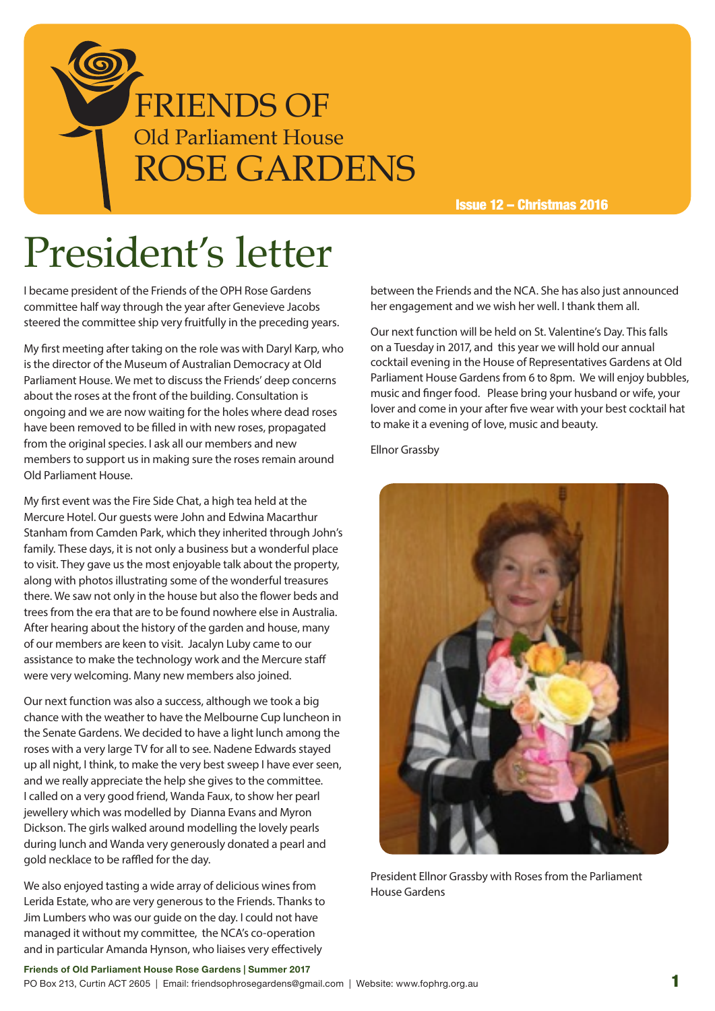

Issue 12 – Christmas 2016

# President's letter

I became president of the Friends of the OPH Rose Gardens committee half way through the year after Genevieve Jacobs steered the committee ship very fruitfully in the preceding years.

My first meeting after taking on the role was with Daryl Karp, who is the director of the Museum of Australian Democracy at Old Parliament House. We met to discuss the Friends' deep concerns about the roses at the front of the building. Consultation is ongoing and we are now waiting for the holes where dead roses have been removed to be filled in with new roses, propagated from the original species. I ask all our members and new members to support us in making sure the roses remain around Old Parliament House.

My first event was the Fire Side Chat, a high tea held at the Mercure Hotel. Our guests were John and Edwina Macarthur Stanham from Camden Park, which they inherited through John's family. These days, it is not only a business but a wonderful place to visit. They gave us the most enjoyable talk about the property, along with photos illustrating some of the wonderful treasures there. We saw not only in the house but also the flower beds and trees from the era that are to be found nowhere else in Australia. After hearing about the history of the garden and house, many of our members are keen to visit. Jacalyn Luby came to our assistance to make the technology work and the Mercure staff were very welcoming. Many new members also joined.

Our next function was also a success, although we took a big chance with the weather to have the Melbourne Cup luncheon in the Senate Gardens. We decided to have a light lunch among the roses with a very large TV for all to see. Nadene Edwards stayed up all night, I think, to make the very best sweep I have ever seen, and we really appreciate the help she gives to the committee. I called on a very good friend, Wanda Faux, to show her pearl jewellery which was modelled by Dianna Evans and Myron Dickson. The girls walked around modelling the lovely pearls during lunch and Wanda very generously donated a pearl and gold necklace to be raffled for the day.

We also enjoyed tasting a wide array of delicious wines from Lerida Estate, who are very generous to the Friends. Thanks to Jim Lumbers who was our guide on the day. I could not have managed it without my committee, the NCA's co-operation and in particular Amanda Hynson, who liaises very effectively

between the Friends and the NCA. She has also just announced her engagement and we wish her well. I thank them all.

Our next function will be held on St. Valentine's Day. This falls on a Tuesday in 2017, and this year we will hold our annual cocktail evening in the House of Representatives Gardens at Old Parliament House Gardens from 6 to 8pm. We will enjoy bubbles, music and finger food. Please bring your husband or wife, your lover and come in your after five wear with your best cocktail hat to make it a evening of love, music and beauty.

Ellnor Grassby



President Ellnor Grassby with Roses from the Parliament House Gardens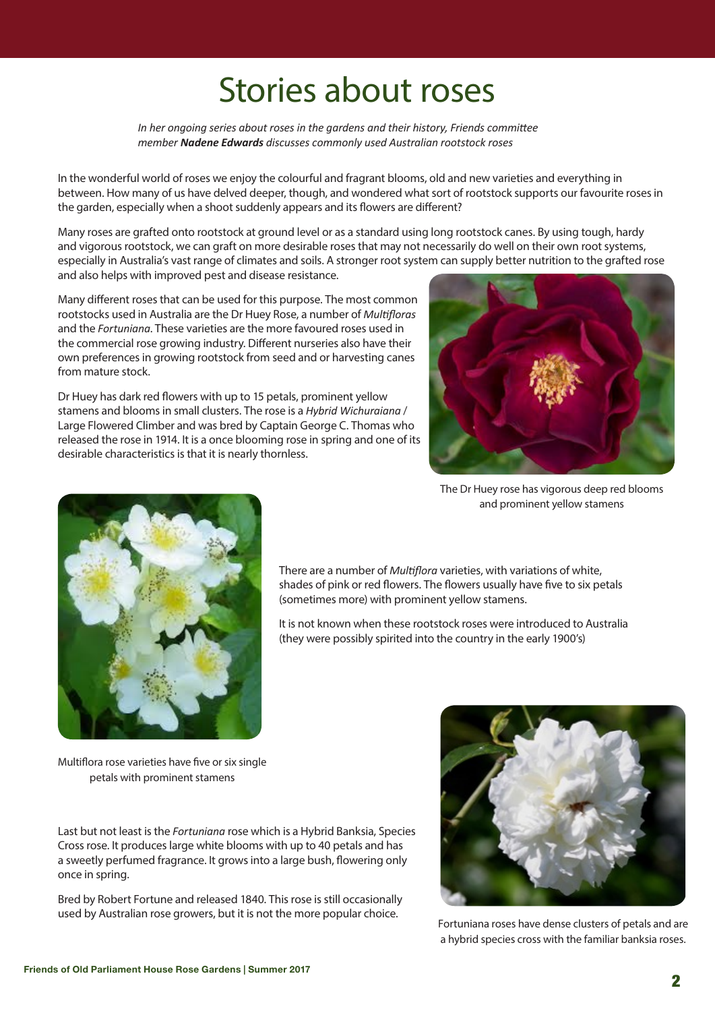### Stories about roses

*In her ongoing series about roses in the gardens and their history, Friends committee member Nadene Edwards discusses commonly used Australian rootstock roses* 

In the wonderful world of roses we enjoy the colourful and fragrant blooms, old and new varieties and everything in between. How many of us have delved deeper, though, and wondered what sort of rootstock supports our favourite roses in the garden, especially when a shoot suddenly appears and its flowers are different?

Many roses are grafted onto rootstock at ground level or as a standard using long rootstock canes. By using tough, hardy and vigorous rootstock, we can graft on more desirable roses that may not necessarily do well on their own root systems, especially in Australia's vast range of climates and soils. A stronger root system can supply better nutrition to the grafted rose and also helps with improved pest and disease resistance.

Many different roses that can be used for this purpose. The most common rootstocks used in Australia are the Dr Huey Rose, a number of *Multifloras* and the *Fortuniana*. These varieties are the more favoured roses used in the commercial rose growing industry. Different nurseries also have their own preferences in growing rootstock from seed and or harvesting canes from mature stock.

Dr Huey has dark red flowers with up to 15 petals, prominent yellow stamens and blooms in small clusters. The rose is a *Hybrid Wichuraiana* / Large Flowered Climber and was bred by Captain George C. Thomas who released the rose in 1914. It is a once blooming rose in spring and one of its desirable characteristics is that it is nearly thornless.



The Dr Huey rose has vigorous deep red blooms and prominent yellow stamens



There are a number of *Multiflora* varieties, with variations of white, shades of pink or red flowers. The flowers usually have five to six petals (sometimes more) with prominent yellow stamens.

It is not known when these rootstock roses were introduced to Australia (they were possibly spirited into the country in the early 1900's)

Multiflora rose varieties have five or six single petals with prominent stamens

Last but not least is the *Fortuniana* rose which is a Hybrid Banksia, Species Cross rose. It produces large white blooms with up to 40 petals and has a sweetly perfumed fragrance. It grows into a large bush, flowering only once in spring.

Bred by Robert Fortune and released 1840. This rose is still occasionally used by Australian rose growers, but it is not the more popular choice.



Fortuniana roses have dense clusters of petals and are a hybrid species cross with the familiar banksia roses.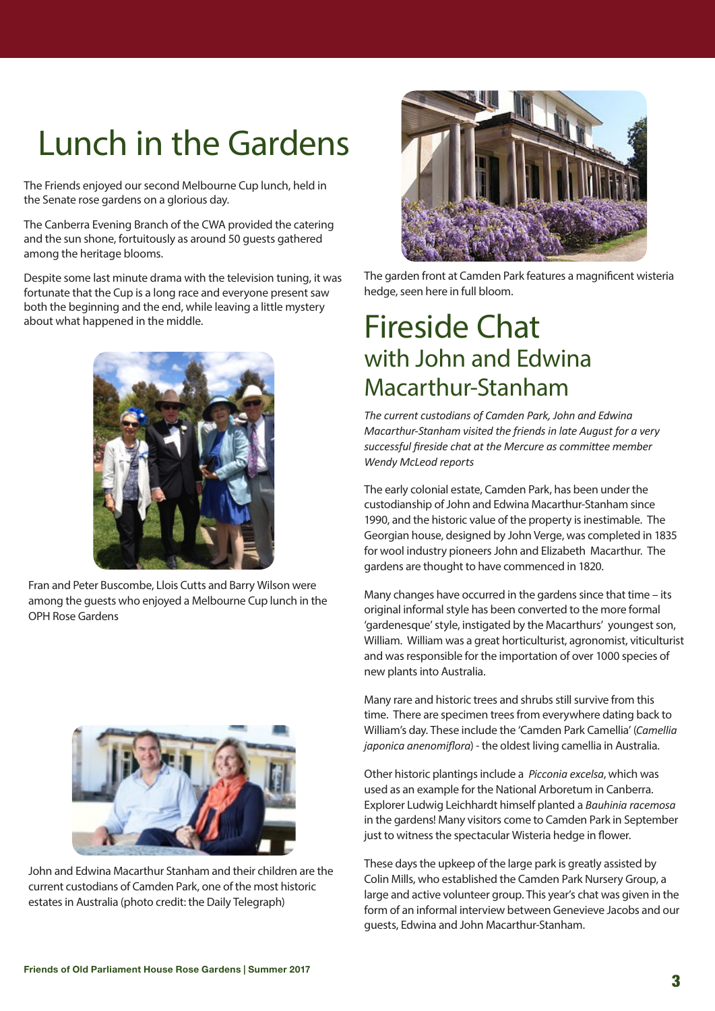## Lunch in the Gardens

The Friends enjoyed our second Melbourne Cup lunch, held in the Senate rose gardens on a glorious day.

The Canberra Evening Branch of the CWA provided the catering and the sun shone, fortuitously as around 50 guests gathered among the heritage blooms.

Despite some last minute drama with the television tuning, it was fortunate that the Cup is a long race and everyone present saw both the beginning and the end, while leaving a little mystery about what happened in the middle.



Fran and Peter Buscombe, Llois Cutts and Barry Wilson were among the guests who enjoyed a Melbourne Cup lunch in the OPH Rose Gardens



John and Edwina Macarthur Stanham and their children are the current custodians of Camden Park, one of the most historic estates in Australia (photo credit: the Daily Telegraph)



The garden front at Camden Park features a magnificent wisteria hedge, seen here in full bloom.

#### Fireside Chat with John and Edwina Macarthur-Stanham

*The current custodians of Camden Park, John and Edwina Macarthur-Stanham visited the friends in late August for a very successful fireside chat at the Mercure as committee member Wendy McLeod reports*

The early colonial estate, Camden Park, has been under the custodianship of John and Edwina Macarthur-Stanham since 1990, and the historic value of the property is inestimable. The Georgian house, designed by John Verge, was completed in 1835 for wool industry pioneers John and Elizabeth Macarthur. The gardens are thought to have commenced in 1820.

Many changes have occurred in the gardens since that time – its original informal style has been converted to the more formal 'gardenesque' style, instigated by the Macarthurs' youngest son, William. William was a great horticulturist, agronomist, viticulturist and was responsible for the importation of over 1000 species of new plants into Australia.

Many rare and historic trees and shrubs still survive from this time. There are specimen trees from everywhere dating back to William's day. These include the 'Camden Park Camellia' (*Camellia japonica anenomiflora*) - the oldest living camellia in Australia.

Other historic plantings include a *Picconia excelsa*, which was used as an example for the National Arboretum in Canberra. Explorer Ludwig Leichhardt himself planted a *Bauhinia racemosa* in the gardens! Many visitors come to Camden Park in September just to witness the spectacular Wisteria hedge in flower.

These days the upkeep of the large park is greatly assisted by Colin Mills, who established the Camden Park Nursery Group, a large and active volunteer group. This year's chat was given in the form of an informal interview between Genevieve Jacobs and our guests, Edwina and John Macarthur-Stanham.